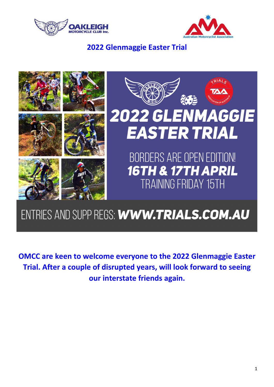



## 2022 Glenmaggie Easter Trial



# ENTRIES AND SUPP REGS: WWW.TRIALS.COM.AU

OMCC are keen to welcome everyone to the 2022 Glenmaggie Easter Trial. After a couple of disrupted years, will look forward to seeing our interstate friends again.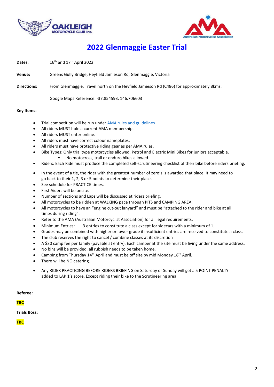



## 2022 Glenmaggie Easter Trial

**Dates:**  $16^{th}$  and  $17^{th}$  April 2022

- Venue: Greens Gully Bridge, Heyfield Jamieson Rd, Glenmaggie, Victoria
- Directions: From Glenmaggie, Travel north on the Heyfield Jamieson Rd (C486) for approximately 8kms.

Google Maps Reference: -37.854593, 146.706603

#### Key Items:

- Trial competition will be run under AMA rules and guidelines
- All riders MUST hole a current AMA membership.
- All riders MUST enter online.
- All riders must have correct colour nameplates.
- All riders must have protective riding gear as per AMA rules.
- Bike Types: Only trial type motorcycles allowed. Petrol and Electric Mini Bikes for juniors acceptable.
	- No motocross, trail or enduro bikes allowed.
- Riders: Each Ride must produce the completed self-scrutineering checklist of their bike before riders briefing.
- In the event of a tie, the rider with the greatest number of zero's is awarded that place. It may need to go back to their 1, 2, 3 or 5 points to determine their place.
- See schedule for PRACTICE times.
- First Aiders will be onsite.
- Number of sections and Laps will be discussed at riders briefing.
- All motorcycles to be ridden at WALKING pace through PITS and CAMPING AREA.
- All motorcycles to have an "engine cut-out lanyard" and must be "attached to the rider and bike at all times during riding".
- Refer to the AMA (Australian Motorcyclist Association) for all legal requirements.
- Minimum Entries: 3 entries to constitute a class except for sidecars with a minimum of 1.
- Grades may be combined with higher or lower grade if insufficient entries are received to constitute a class.
- The club reserves the right to cancel / combine classes at its discretion
- A \$30 camp fee per family (payable at entry). Each camper at the site must be living under the same address.
- No bins will be provided, all rubbish needs to be taken home.
- Camping from Thursday  $14<sup>th</sup>$  April and must be off site by mid Monday  $18<sup>th</sup>$  April.
- There will be NO catering.
- Any RIDER PRACTICING BEFORE RIDERS BRIEFING on Saturday or Sunday will get a 5 POINT PENALTY added to LAP 1's score. Except riding their bike to the Scrutineering area.

Referee:

#### TBC

Trials Boss:

**TBC**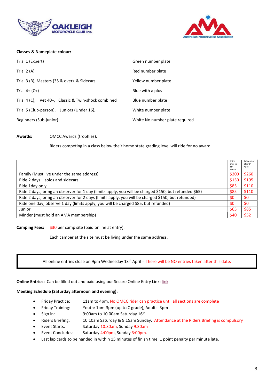



### Classes & Nameplate colour:

| Trial 1 (Expert)                                    | Green number plate             |
|-----------------------------------------------------|--------------------------------|
| Trial $2(A)$                                        | Red number plate               |
| Trial 3 (B), Masters (35 & over) & Sidecars         | Yellow number plate            |
| Trial $4+$ (C+)                                     | Blue with a plus               |
| Trial 4 (C), Vet 40+, Classic & Twin-shock combined | Blue number plate              |
| Trial 5 (Club-person), Juniors (Under 16),          | White number plate             |
| Beginners (Sub-junior)                              | White No number plate required |

Awards: OMCC Awards (trophies).

Riders competing in a class below their home state grading level will ride for no award.

|                                                                                                       | Entry<br>prior to<br>31 <sup>st</sup><br>March | Entry on or<br>after 1st<br>April |
|-------------------------------------------------------------------------------------------------------|------------------------------------------------|-----------------------------------|
| Family (Must live under the same address)                                                             | \$200                                          | \$260                             |
| Ride 2 days - solos and sidecars                                                                      | \$150                                          | \$195                             |
| Ride 1day only                                                                                        | \$85                                           | \$110                             |
| Ride 2 days, bring an observer for 1 day (limits apply, you will be charged \$150, but refunded \$65) | \$85                                           | \$110                             |
| Ride 2 days, bring an observer for 2 days (limits apply, you will be charged \$150, but refunded)     | \$0                                            | \$0                               |
| Ride one day, observe 1 day (limits apply, you will be charged \$85, but refunded)                    |                                                | \$0                               |
| Junior                                                                                                | \$65                                           | \$85                              |
| Minder (must hold an AMA membership)                                                                  | \$40                                           | \$52                              |

Camping Fees: \$30 per camp site (paid online at entry).

Each camper at the site must be living under the same address.

All online entries close on 9pm Wednesday 13<sup>th</sup> April - There will be NO entries taken after this date.

Online Entries: Can be filled out and paid using our Secure Online Entry Link: link

### Meeting Schedule (Saturday afternoon and evening):

- Friday Practice: 11am to 4pm. No OMCC rider can practice until all sections are complete
- Friday Training: Youth: 1pm-3pm (up to C grade), Adults: 3pm
- Sign in: 9:00am to 10.00am Saturday 16<sup>th</sup>
- Riders Briefing: 10:10am Saturday & 9:15am Sunday. Attendance at the Riders Briefing is compulsory
- Event Starts: Saturday 10:30am, Sunday 9:30am
- Event Concludes: Saturday 4:00pm, Sunday 3:00pm.
- Last lap cards to be handed in within 15 minutes of finish time. 1 point penalty per minute late.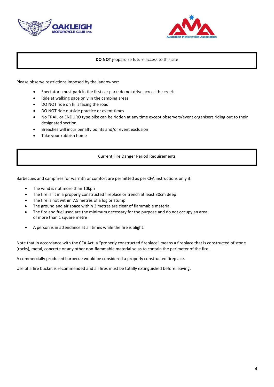



### DO NOT jeopardize future access to this site

Please observe restrictions imposed by the landowner:

- Spectators must park in the first car park; do not drive across the creek
- Ride at walking pace only in the camping areas
- DO NOT ride on hills facing the road
- DO NOT ride outside practice or event times
- No TRAIL or ENDURO type bike can be ridden at any time except observers/event organisers riding out to their designated section.
- Breaches will incur penalty points and/or event exclusion
- Take your rubbish home

#### Current Fire Danger Period Requirements

Barbecues and campfires for warmth or comfort are permitted as per CFA instructions only if:

- The wind is not more than 10kph
- The fire is lit in a properly constructed fireplace or trench at least 30cm deep
- The fire is not within 7.5 metres of a log or stump
- The ground and air space within 3 metres are clear of flammable material
- The fire and fuel used are the minimum necessary for the purpose and do not occupy an area of more than 1 square metre
- A person is in attendance at all times while the fire is alight.

Note that in accordance with the CFA Act, a "properly constructed fireplace" means a fireplace that is constructed of stone (rocks), metal, concrete or any other non-flammable material so as to contain the perimeter of the fire.

A commercially produced barbecue would be considered a properly constructed fireplace.

Use of a fire bucket is recommended and all fires must be totally extinguished before leaving.